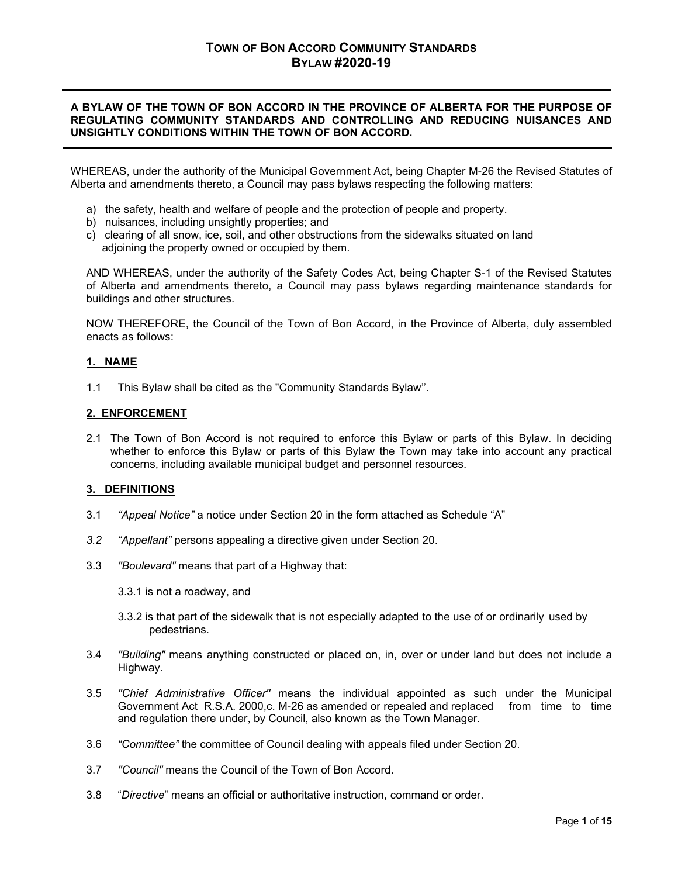# **A BYLAW OF THE TOWN OF BON ACCORD IN THE PROVINCE OF ALBERTA FOR THE PURPOSE OF REGULATING COMMUNITY STANDARDS AND CONTROLLING AND REDUCING NUISANCES AND UNSIGHTLY CONDITIONS WITHIN THE TOWN OF BON ACCORD.**

WHEREAS, under the authority of the Municipal Government Act, being Chapter M-26 the Revised Statutes of Alberta and amendments thereto, a Council may pass bylaws respecting the following matters:

- a) the safety, health and welfare of people and the protection of people and property.
- b) nuisances, including unsightly properties; and
- c) clearing of all snow, ice, soil, and other obstructions from the sidewalks situated on land adjoining the property owned or occupied by them.

AND WHEREAS, under the authority of the Safety Codes Act, being Chapter S-1 of the Revised Statutes of Alberta and amendments thereto, a Council may pass bylaws regarding maintenance standards for buildings and other structures.

NOW THEREFORE, the Council of the Town of Bon Accord, in the Province of Alberta, duly assembled enacts as follows:

# **1. NAME**

1.1 This Bylaw shall be cited as the "Community Standards Bylaw''.

#### **2. ENFORCEMENT**

2.1 The Town of Bon Accord is not required to enforce this Bylaw or parts of this Bylaw. In deciding whether to enforce this Bylaw or parts of this Bylaw the Town may take into account any practical concerns, including available municipal budget and personnel resources.

# **3. DEFINITIONS**

- 3.1 *"Appeal Notice"* a notice under Section 20 in the form attached as Schedule "A"
- *3.2 "Appellant"* persons appealing a directive given under Section 20.
- 3.3 *"Boulevard"* means that part of a Highway that:
	- 3.3.1 is not a roadway, and
	- 3.3.2 is that part of the sidewalk that is not especially adapted to the use of or ordinarily used by pedestrians.
- 3.4 *"Building"* means anything constructed or placed on, in, over or under land but does not include a Highway.
- 3.5 *"Chief Administrative Officer''* means the individual appointed as such under the Municipal Government Act R.S.A. 2000,c. M-26 as amended or repealed and replaced from time to time and regulation there under, by Council, also known as the Town Manager.
- 3.6 *"Committee"* the committee of Council dealing with appeals filed under Section 20.
- 3.7 *"Council"* means the Council of the Town of Bon Accord.
- 3.8 "*Directive*" means an official or authoritative instruction, command or order.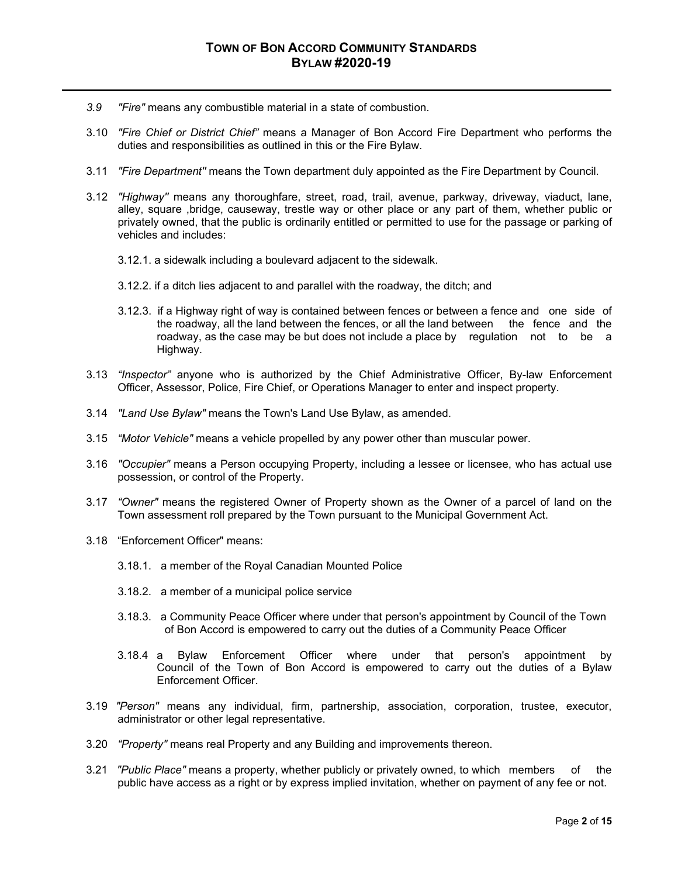- *3.9 "Fire"* means any combustible material in a state of combustion.
- 3.10 *"Fire Chief or District Chief"* means a Manager of Bon Accord Fire Department who performs the duties and responsibilities as outlined in this or the Fire Bylaw.
- 3.11 *"Fire Department''* means the Town department duly appointed as the Fire Department by Council.
- 3.12 *"Highway''* means any thoroughfare, street, road, trail, avenue, parkway, driveway, viaduct, lane, alley, square ,bridge, causeway, trestle way or other place or any part of them, whether public or privately owned, that the public is ordinarily entitled or permitted to use for the passage or parking of vehicles and includes:
	- 3.12.1. a sidewalk including a boulevard adjacent to the sidewalk.
	- 3.12.2. if a ditch lies adjacent to and parallel with the roadway, the ditch; and
	- 3.12.3. if a Highway right of way is contained between fences or between a fence and one side of the roadway, all the land between the fences, or all the land between the fence and the roadway, as the case may be but does not include a place by regulation not to be a Highway.
- 3.13 *"Inspector"* anyone who is authorized by the Chief Administrative Officer, By-law Enforcement Officer, Assessor, Police, Fire Chief, or Operations Manager to enter and inspect property.
- 3.14 *"Land Use Bylaw"* means the Town's Land Use Bylaw, as amended.
- 3.15 *"Motor Vehicle"* means a vehicle propelled by any power other than muscular power.
- 3.16 *"Occupier"* means a Person occupying Property, including a lessee or licensee, who has actual use possession, or control of the Property.
- 3.17 *"Owner"* means the registered Owner of Property shown as the Owner of a parcel of land on the Town assessment roll prepared by the Town pursuant to the Municipal Government Act.
- 3.18 "Enforcement Officer" means:
	- 3.18.1. a member of the Royal Canadian Mounted Police
	- 3.18.2. a member of a municipal police service
	- 3.18.3. a Community Peace Officer where under that person's appointment by Council of the Town of Bon Accord is empowered to carry out the duties of a Community Peace Officer
	- 3.18.4 a Bylaw Enforcement Officer where under that person's appointment by Council of the Town of Bon Accord is empowered to carry out the duties of a Bylaw Enforcement Officer.
- 3.19 *"Person"* means any individual, firm, partnership, association, corporation, trustee, executor, administrator or other legal representative.
- 3.20 *"Property"* means real Property and any Building and improvements thereon.
- 3.21 *"Public Place"* means a property, whether publicly or privately owned, to which members of the public have access as a right or by express implied invitation, whether on payment of any fee or not.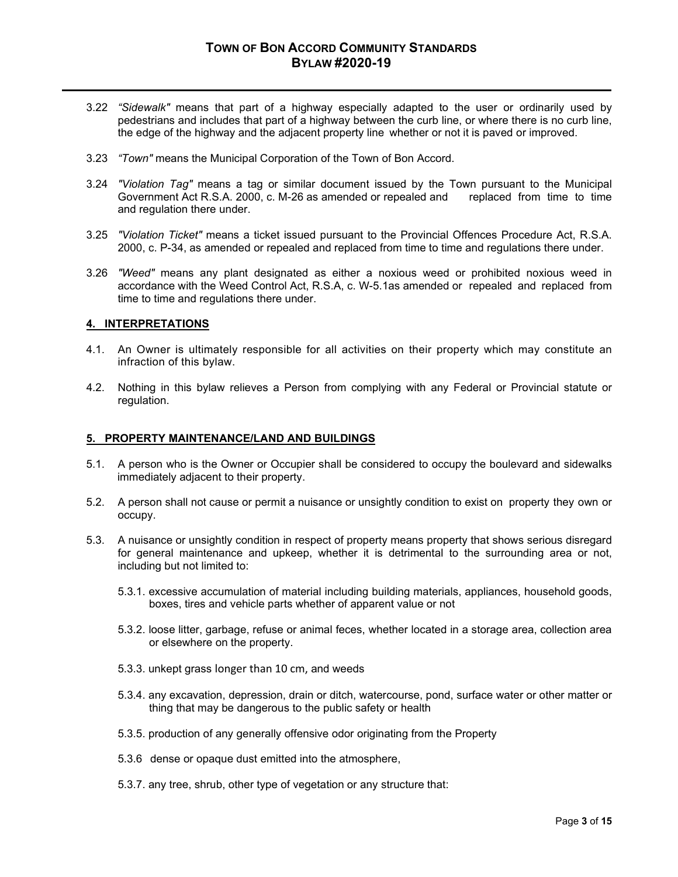- 3.22 *"Sidewalk"* means that part of a highway especially adapted to the user or ordinarily used by pedestrians and includes that part of a highway between the curb line, or where there is no curb line, the edge of the highway and the adjacent property line whether or not it is paved or improved.
- 3.23 *"Town"* means the Municipal Corporation of the Town of Bon Accord.
- 3.24 *"Violation Tag"* means a tag or similar document issued by the Town pursuant to the Municipal Government Act R.S.A. 2000, c. M-26 as amended or repealed and and regulation there under.
- 3.25 *"Violation Ticket"* means a ticket issued pursuant to the Provincial Offences Procedure Act, R.S.A. 2000, c. P-34, as amended or repealed and replaced from time to time and regulations there under.
- 3.26 *"Weed"* means any plant designated as either a noxious weed or prohibited noxious weed in accordance with the Weed Control Act, R.S.A, c. W-5.1as amended or repealed and replaced from time to time and regulations there under.

#### **4. INTERPRETATIONS**

- 4.1. An Owner is ultimately responsible for all activities on their property which may constitute an infraction of this bylaw.
- 4.2. Nothing in this bylaw relieves a Person from complying with any Federal or Provincial statute or regulation.

#### **5. PROPERTY MAINTENANCE/LAND AND BUILDINGS**

- 5.1. A person who is the Owner or Occupier shall be considered to occupy the boulevard and sidewalks immediately adjacent to their property.
- 5.2. A person shall not cause or permit a nuisance or unsightly condition to exist on property they own or occupy.
- 5.3. A nuisance or unsightly condition in respect of property means property that shows serious disregard for general maintenance and upkeep, whether it is detrimental to the surrounding area or not, including but not limited to:
	- 5.3.1. excessive accumulation of material including building materials, appliances, household goods, boxes, tires and vehicle parts whether of apparent value or not
	- 5.3.2. loose litter, garbage, refuse or animal feces, whether located in a storage area, collection area or elsewhere on the property.
	- 5.3.3. unkept grass longer than 10 cm, and weeds
	- 5.3.4. any excavation, depression, drain or ditch, watercourse, pond, surface water or other matter or thing that may be dangerous to the public safety or health
	- 5.3.5. production of any generally offensive odor originating from the Property
	- 5.3.6 dense or opaque dust emitted into the atmosphere,
	- 5.3.7. any tree, shrub, other type of vegetation or any structure that: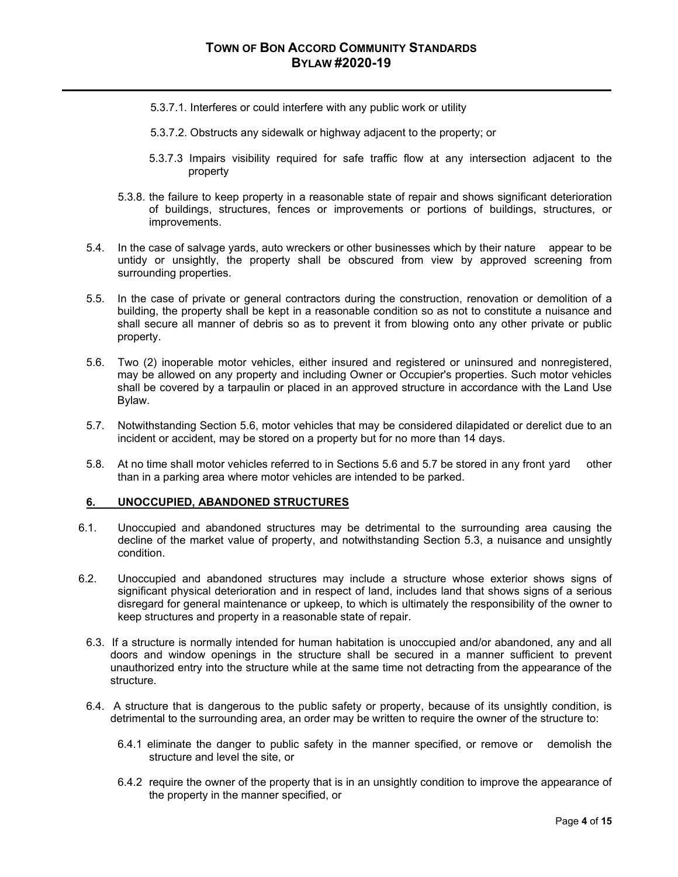- 5.3.7.1. Interferes or could interfere with any public work or utility
- 5.3.7.2. Obstructs any sidewalk or highway adjacent to the property; or
- 5.3.7.3 Impairs visibility required for safe traffic flow at any intersection adjacent to the property
- 5.3.8. the failure to keep property in a reasonable state of repair and shows significant deterioration of buildings, structures, fences or improvements or portions of buildings, structures, or improvements.
- 5.4. In the case of salvage yards, auto wreckers or other businesses which by their nature appear to be untidy or unsightly, the property shall be obscured from view by approved screening from surrounding properties.
- 5.5. In the case of private or general contractors during the construction, renovation or demolition of a building, the property shall be kept in a reasonable condition so as not to constitute a nuisance and shall secure all manner of debris so as to prevent it from blowing onto any other private or public property.
- 5.6. Two (2) inoperable motor vehicles, either insured and registered or uninsured and nonregistered, may be allowed on any property and including Owner or Occupier's properties. Such motor vehicles shall be covered by a tarpaulin or placed in an approved structure in accordance with the Land Use Bylaw.
- 5.7. Notwithstanding Section 5.6, motor vehicles that may be considered dilapidated or derelict due to an incident or accident, may be stored on a property but for no more than 14 days.
- 5.8. At no time shall motor vehicles referred to in Sections 5.6 and 5.7 be stored in any front yard other than in a parking area where motor vehicles are intended to be parked.

# **6. UNOCCUPIED, ABANDONED STRUCTURES**

- 6.1. Unoccupied and abandoned structures may be detrimental to the surrounding area causing the decline of the market value of property, and notwithstanding Section 5.3, a nuisance and unsightly condition.
- 6.2. Unoccupied and abandoned structures may include a structure whose exterior shows signs of significant physical deterioration and in respect of land, includes land that shows signs of a serious disregard for general maintenance or upkeep, to which is ultimately the responsibility of the owner to keep structures and property in a reasonable state of repair.
	- 6.3. If a structure is normally intended for human habitation is unoccupied and/or abandoned, any and all doors and window openings in the structure shall be secured in a manner sufficient to prevent unauthorized entry into the structure while at the same time not detracting from the appearance of the structure.
	- 6.4. A structure that is dangerous to the public safety or property, because of its unsightly condition, is detrimental to the surrounding area, an order may be written to require the owner of the structure to:
		- 6.4.1 eliminate the danger to public safety in the manner specified, or remove or demolish the structure and level the site, or
		- 6.4.2 require the owner of the property that is in an unsightly condition to improve the appearance of the property in the manner specified, or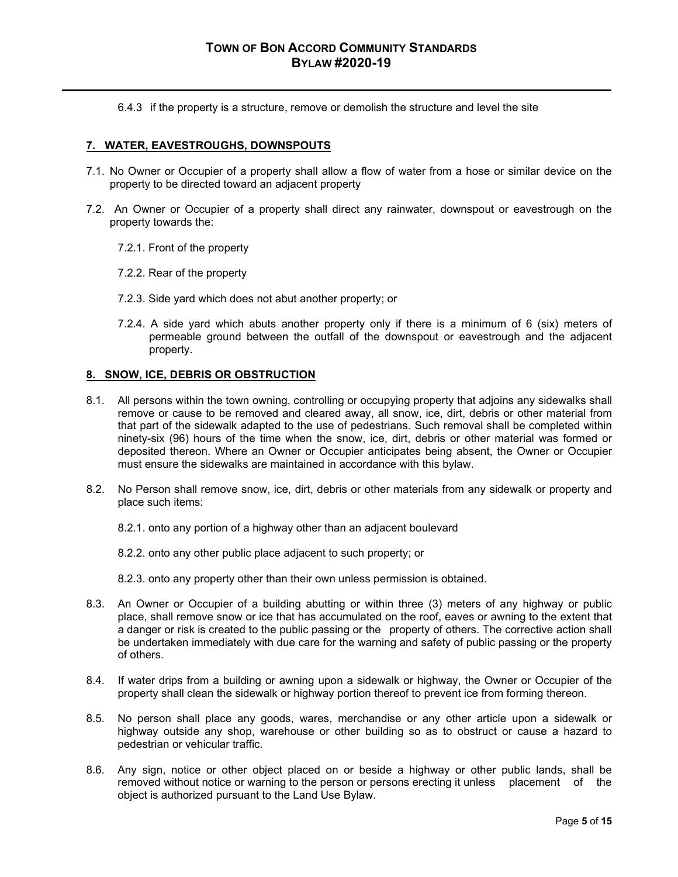6.4.3 if the property is a structure, remove or demolish the structure and level the site

# **7. WATER, EAVESTROUGHS, DOWNSPOUTS**

- 7.1. No Owner or Occupier of a property shall allow a flow of water from a hose or similar device on the property to be directed toward an adjacent property
- 7.2. An Owner or Occupier of a property shall direct any rainwater, downspout or eavestrough on the property towards the:
	- 7.2.1. Front of the property
	- 7.2.2. Rear of the property
	- 7.2.3. Side yard which does not abut another property; or
	- 7.2.4. A side yard which abuts another property only if there is a minimum of 6 (six) meters of permeable ground between the outfall of the downspout or eavestrough and the adjacent property.

#### **8. SNOW, ICE, DEBRIS OR OBSTRUCTION**

- 8.1. All persons within the town owning, controlling or occupying property that adjoins any sidewalks shall remove or cause to be removed and cleared away, all snow, ice, dirt, debris or other material from that part of the sidewalk adapted to the use of pedestrians. Such removal shall be completed within ninety-six (96) hours of the time when the snow, ice, dirt, debris or other material was formed or deposited thereon. Where an Owner or Occupier anticipates being absent, the Owner or Occupier must ensure the sidewalks are maintained in accordance with this bylaw.
- 8.2. No Person shall remove snow, ice, dirt, debris or other materials from any sidewalk or property and place such items:
	- 8.2.1. onto any portion of a highway other than an adjacent boulevard
	- 8.2.2. onto any other public place adjacent to such property; or
	- 8.2.3. onto any property other than their own unless permission is obtained.
- 8.3. An Owner or Occupier of a building abutting or within three (3) meters of any highway or public place, shall remove snow or ice that has accumulated on the roof, eaves or awning to the extent that a danger or risk is created to the public passing or the property of others. The corrective action shall be undertaken immediately with due care for the warning and safety of public passing or the property of others.
- 8.4. If water drips from a building or awning upon a sidewalk or highway, the Owner or Occupier of the property shall clean the sidewalk or highway portion thereof to prevent ice from forming thereon.
- 8.5. No person shall place any goods, wares, merchandise or any other article upon a sidewalk or highway outside any shop, warehouse or other building so as to obstruct or cause a hazard to pedestrian or vehicular traffic.
- 8.6. Any sign, notice or other object placed on or beside a highway or other public lands, shall be removed without notice or warning to the person or persons erecting it unless placement of the object is authorized pursuant to the Land Use Bylaw.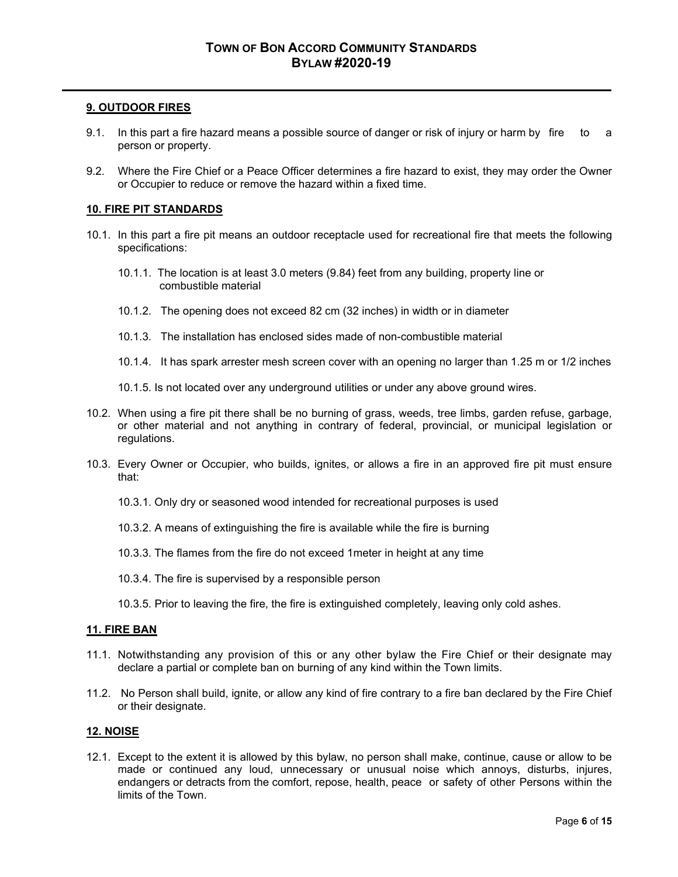# **9. OUTDOOR FIRES**

- 9.1. In this part a fire hazard means a possible source of danger or risk of injury or harm by fire to a person or property.
- 9.2. Where the Fire Chief or a Peace Officer determines a fire hazard to exist, they may order the Owner or Occupier to reduce or remove the hazard within a fixed time.

# **10. FIRE PIT STANDARDS**

- 10.1. In this part a fire pit means an outdoor receptacle used for recreational fire that meets the following specifications:
	- 10.1.1. The location is at least 3.0 meters (9.84) feet from any building, property line or combustible material
	- 10.1.2. The opening does not exceed 82 cm (32 inches) in width or in diameter
	- 10.1.3. The installation has enclosed sides made of non-combustible material
	- 10.1.4. It has spark arrester mesh screen cover with an opening no larger than 1.25 m or 1/2 inches
	- 10.1.5. Is not located over any underground utilities or under any above ground wires.
- 10.2. When using a fire pit there shall be no burning of grass, weeds, tree limbs, garden refuse, garbage, or other material and not anything in contrary of federal, provincial, or municipal legislation or regulations.
- 10.3. Every Owner or Occupier, who builds, ignites, or allows a fire in an approved fire pit must ensure that:
	- 10.3.1. Only dry or seasoned wood intended for recreational purposes is used
	- 10.3.2. A means of extinguishing the fire is available while the fire is burning
	- 10.3.3. The flames from the fire do not exceed 1meter in height at any time
	- 10.3.4. The fire is supervised by a responsible person
	- 10.3.5. Prior to leaving the fire, the fire is extinguished completely, leaving only cold ashes.

# **11. FIRE BAN**

- 11.1. Notwithstanding any provision of this or any other bylaw the Fire Chief or their designate may declare a partial or complete ban on burning of any kind within the Town limits.
- 11.2. No Person shall build, ignite, or allow any kind of fire contrary to a fire ban declared by the Fire Chief or their designate.

# **12. NOISE**

12.1. Except to the extent it is allowed by this bylaw, no person shall make, continue, cause or allow to be made or continued any loud, unnecessary or unusual noise which annoys, disturbs, injures, endangers or detracts from the comfort, repose, health, peace or safety of other Persons within the limits of the Town.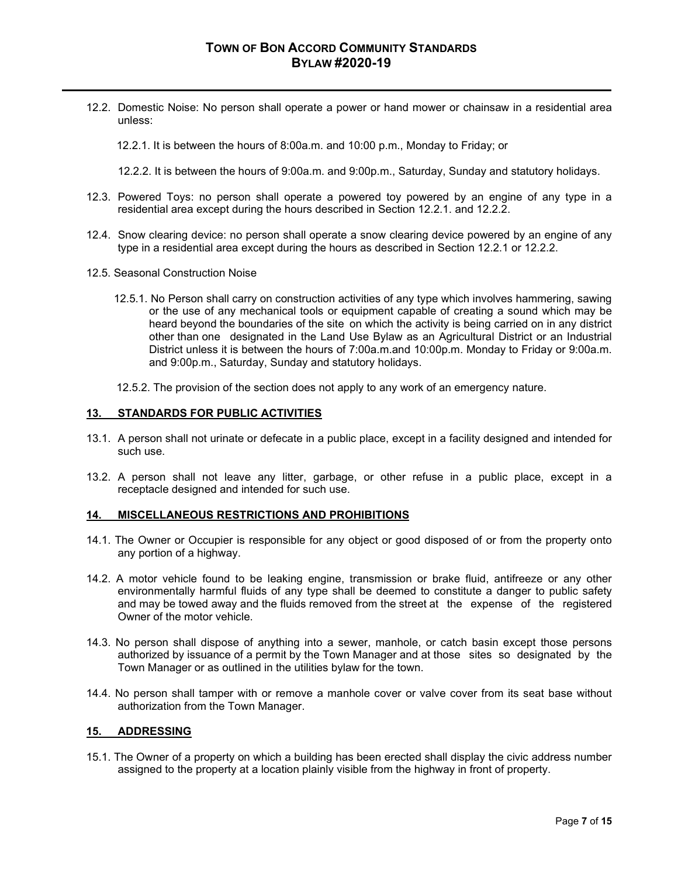12.2. Domestic Noise: No person shall operate a power or hand mower or chainsaw in a residential area unless:

12.2.1. It is between the hours of 8:00a.m. and 10:00 p.m., Monday to Friday; or

12.2.2. It is between the hours of 9:00a.m. and 9:00p.m., Saturday, Sunday and statutory holidays.

- 12.3. Powered Toys: no person shall operate a powered toy powered by an engine of any type in a residential area except during the hours described in Section 12.2.1. and 12.2.2.
- 12.4. Snow clearing device: no person shall operate a snow clearing device powered by an engine of any type in a residential area except during the hours as described in Section 12.2.1 or 12.2.2.
- 12.5. Seasonal Construction Noise
	- 12.5.1. No Person shall carry on construction activities of any type which involves hammering, sawing or the use of any mechanical tools or equipment capable of creating a sound which may be heard beyond the boundaries of the site on which the activity is being carried on in any district other than one designated in the Land Use Bylaw as an Agricultural District or an Industrial District unless it is between the hours of 7:00a.m.and 10:00p.m. Monday to Friday or 9:00a.m. and 9:00p.m., Saturday, Sunday and statutory holidays.
	- 12.5.2. The provision of the section does not apply to any work of an emergency nature.

#### **13. STANDARDS FOR PUBLIC ACTIVITIES**

- 13.1. A person shall not urinate or defecate in a public place, except in a facility designed and intended for such use.
- 13.2. A person shall not leave any litter, garbage, or other refuse in a public place, except in a receptacle designed and intended for such use.

#### **14. MISCELLANEOUS RESTRICTIONS AND PROHIBITIONS**

- 14.1. The Owner or Occupier is responsible for any object or good disposed of or from the property onto any portion of a highway.
- 14.2. A motor vehicle found to be leaking engine, transmission or brake fluid, antifreeze or any other environmentally harmful fluids of any type shall be deemed to constitute a danger to public safety and may be towed away and the fluids removed from the street at the expense of the registered Owner of the motor vehicle.
- 14.3. No person shall dispose of anything into a sewer, manhole, or catch basin except those persons authorized by issuance of a permit by the Town Manager and at those sites so designated by the Town Manager or as outlined in the utilities bylaw for the town.
- 14.4. No person shall tamper with or remove a manhole cover or valve cover from its seat base without authorization from the Town Manager.

#### **15. ADDRESSING**

15.1. The Owner of a property on which a building has been erected shall display the civic address number assigned to the property at a location plainly visible from the highway in front of property.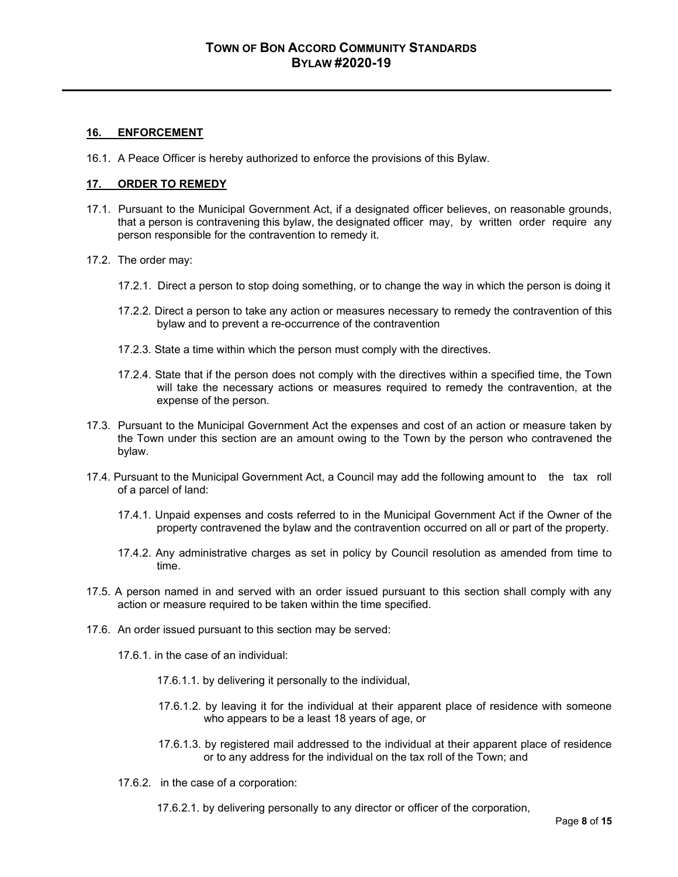# **16. ENFORCEMENT**

16.1. A Peace Officer is hereby authorized to enforce the provisions of this Bylaw.

### **17. ORDER TO REMEDY**

- 17.1. Pursuant to the Municipal Government Act, if a designated officer believes, on reasonable grounds, that a person is contravening this bylaw, the designated officer may, by written order require any person responsible for the contravention to remedy it.
- 17.2. The order may:
	- 17.2.1. Direct a person to stop doing something, or to change the way in which the person is doing it
	- 17.2.2. Direct a person to take any action or measures necessary to remedy the contravention of this bylaw and to prevent a re-occurrence of the contravention
	- 17.2.3. State a time within which the person must comply with the directives.
	- 17.2.4. State that if the person does not comply with the directives within a specified time, the Town will take the necessary actions or measures required to remedy the contravention, at the expense of the person.
- 17.3. Pursuant to the Municipal Government Act the expenses and cost of an action or measure taken by the Town under this section are an amount owing to the Town by the person who contravened the bylaw.
- 17.4. Pursuant to the Municipal Government Act, a Council may add the following amount to the tax roll of a parcel of land:
	- 17.4.1. Unpaid expenses and costs referred to in the Municipal Government Act if the Owner of the property contravened the bylaw and the contravention occurred on all or part of the property.
	- 17.4.2. Any administrative charges as set in policy by Council resolution as amended from time to time.
- 17.5. A person named in and served with an order issued pursuant to this section shall comply with any action or measure required to be taken within the time specified.
- 17.6. An order issued pursuant to this section may be served:
	- 17.6.1. in the case of an individual:
		- 17.6.1.1. by delivering it personally to the individual,
		- 17.6.1.2. by leaving it for the individual at their apparent place of residence with someone who appears to be a least 18 years of age, or
		- 17.6.1.3. by registered mail addressed to the individual at their apparent place of residence or to any address for the individual on the tax roll of the Town; and
	- 17.6.2. in the case of a corporation:
		- 17.6.2.1. by delivering personally to any director or officer of the corporation,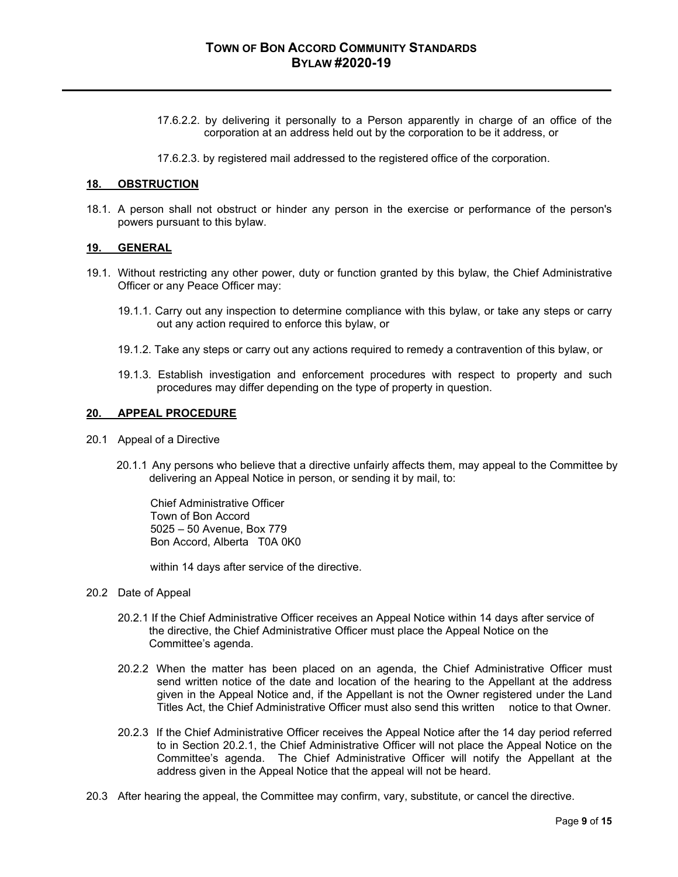- 17.6.2.2. by delivering it personally to a Person apparently in charge of an office of the corporation at an address held out by the corporation to be it address, or
- 17.6.2.3. by registered mail addressed to the registered office of the corporation.

#### **18. OBSTRUCTION**

18.1. A person shall not obstruct or hinder any person in the exercise or performance of the person's powers pursuant to this bylaw.

#### **19. GENERAL**

- 19.1. Without restricting any other power, duty or function granted by this bylaw, the Chief Administrative Officer or any Peace Officer may:
	- 19.1.1. Carry out any inspection to determine compliance with this bylaw, or take any steps or carry out any action required to enforce this bylaw, or
	- 19.1.2. Take any steps or carry out any actions required to remedy a contravention of this bylaw, or
	- 19.1.3. Establish investigation and enforcement procedures with respect to property and such procedures may differ depending on the type of property in question.

### **20. APPEAL PROCEDURE**

- 20.1 Appeal of a Directive
	- 20.1.1 Any persons who believe that a directive unfairly affects them, may appeal to the Committee by delivering an Appeal Notice in person, or sending it by mail, to:

Chief Administrative Officer Town of Bon Accord 5025 – 50 Avenue, Box 779 Bon Accord, Alberta T0A 0K0

within 14 days after service of the directive.

- 20.2 Date of Appeal
	- 20.2.1 If the Chief Administrative Officer receives an Appeal Notice within 14 days after service of the directive, the Chief Administrative Officer must place the Appeal Notice on the Committee's agenda.
	- 20.2.2 When the matter has been placed on an agenda, the Chief Administrative Officer must send written notice of the date and location of the hearing to the Appellant at the address given in the Appeal Notice and, if the Appellant is not the Owner registered under the Land Titles Act, the Chief Administrative Officer must also send this written notice to that Owner.
	- 20.2.3 If the Chief Administrative Officer receives the Appeal Notice after the 14 day period referred to in Section 20.2.1, the Chief Administrative Officer will not place the Appeal Notice on the Committee's agenda. The Chief Administrative Officer will notify the Appellant at the address given in the Appeal Notice that the appeal will not be heard.
- 20.3 After hearing the appeal, the Committee may confirm, vary, substitute, or cancel the directive.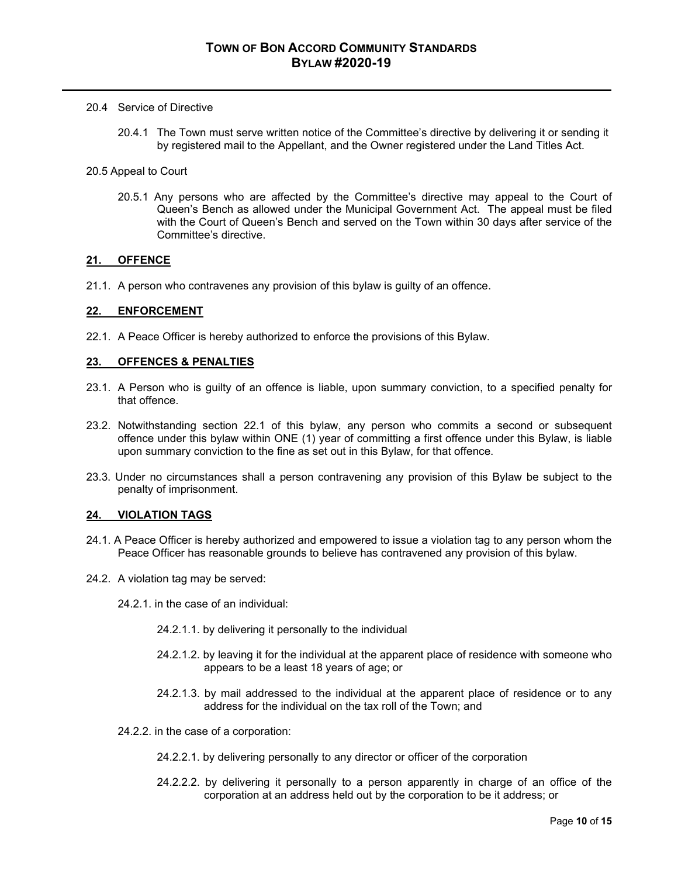#### 20.4 Service of Directive

- 20.4.1 The Town must serve written notice of the Committee's directive by delivering it or sending it by registered mail to the Appellant, and the Owner registered under the Land Titles Act.
- 20.5 Appeal to Court
	- 20.5.1 Any persons who are affected by the Committee's directive may appeal to the Court of Queen's Bench as allowed under the Municipal Government Act. The appeal must be filed with the Court of Queen's Bench and served on the Town within 30 days after service of the Committee's directive.

#### **21. OFFENCE**

21.1. A person who contravenes any provision of this bylaw is guilty of an offence.

#### **22. ENFORCEMENT**

22.1. A Peace Officer is hereby authorized to enforce the provisions of this Bylaw.

#### **23. OFFENCES & PENALTIES**

- 23.1. A Person who is guilty of an offence is liable, upon summary conviction, to a specified penalty for that offence.
- 23.2. Notwithstanding section 22.1 of this bylaw, any person who commits a second or subsequent offence under this bylaw within ONE (1) year of committing a first offence under this Bylaw, is liable upon summary conviction to the fine as set out in this Bylaw, for that offence.
- 23.3. Under no circumstances shall a person contravening any provision of this Bylaw be subject to the penalty of imprisonment.

# **24. VIOLATION TAGS**

- 24.1. A Peace Officer is hereby authorized and empowered to issue a violation tag to any person whom the Peace Officer has reasonable grounds to believe has contravened any provision of this bylaw.
- 24.2. A violation tag may be served:
	- 24.2.1. in the case of an individual:
		- 24.2.1.1. by delivering it personally to the individual
		- 24.2.1.2. by leaving it for the individual at the apparent place of residence with someone who appears to be a least 18 years of age; or
		- 24.2.1.3. by mail addressed to the individual at the apparent place of residence or to any address for the individual on the tax roll of the Town; and
	- 24.2.2. in the case of a corporation:
		- 24.2.2.1. by delivering personally to any director or officer of the corporation
		- 24.2.2.2. by delivering it personally to a person apparently in charge of an office of the corporation at an address held out by the corporation to be it address; or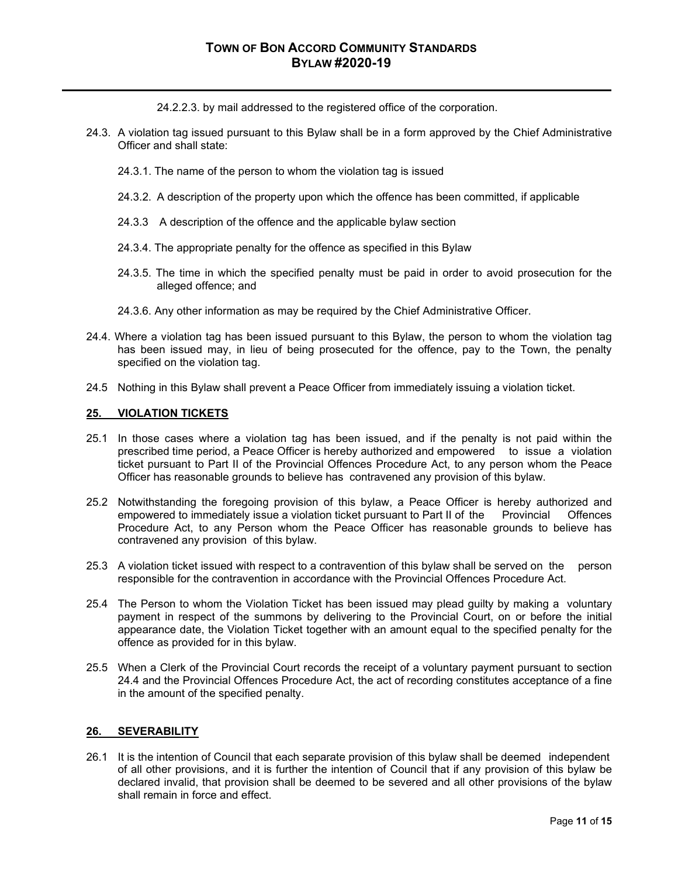24.2.2.3. by mail addressed to the registered office of the corporation.

- 24.3. A violation tag issued pursuant to this Bylaw shall be in a form approved by the Chief Administrative Officer and shall state:
	- 24.3.1. The name of the person to whom the violation tag is issued
	- 24.3.2. A description of the property upon which the offence has been committed, if applicable
	- 24.3.3 A description of the offence and the applicable bylaw section
	- 24.3.4. The appropriate penalty for the offence as specified in this Bylaw
	- 24.3.5. The time in which the specified penalty must be paid in order to avoid prosecution for the alleged offence; and
	- 24.3.6. Any other information as may be required by the Chief Administrative Officer.
- 24.4. Where a violation tag has been issued pursuant to this Bylaw, the person to whom the violation tag has been issued may, in lieu of being prosecuted for the offence, pay to the Town, the penalty specified on the violation tag.
- 24.5 Nothing in this Bylaw shall prevent a Peace Officer from immediately issuing a violation ticket.

#### **25. VIOLATION TICKETS**

- 25.1 In those cases where a violation tag has been issued, and if the penalty is not paid within the prescribed time period, a Peace Officer is hereby authorized and empowered to issue a violation ticket pursuant to Part II of the Provincial Offences Procedure Act, to any person whom the Peace Officer has reasonable grounds to believe has contravened any provision of this bylaw.
- 25.2 Notwithstanding the foregoing provision of this bylaw, a Peace Officer is hereby authorized and empowered to immediately issue a violation ticket pursuant to Part II of the Provincial Offences Procedure Act, to any Person whom the Peace Officer has reasonable grounds to believe has contravened any provision of this bylaw.
- 25.3 A violation ticket issued with respect to a contravention of this bylaw shall be served on the person responsible for the contravention in accordance with the Provincial Offences Procedure Act.
- 25.4 The Person to whom the Violation Ticket has been issued may plead guilty by making a voluntary payment in respect of the summons by delivering to the Provincial Court, on or before the initial appearance date, the Violation Ticket together with an amount equal to the specified penalty for the offence as provided for in this bylaw.
- 25.5 When a Clerk of the Provincial Court records the receipt of a voluntary payment pursuant to section 24.4 and the Provincial Offences Procedure Act, the act of recording constitutes acceptance of a fine in the amount of the specified penalty.

# **26. SEVERABILITY**

26.1 It is the intention of Council that each separate provision of this bylaw shall be deemed independent of all other provisions, and it is further the intention of Council that if any provision of this bylaw be declared invalid, that provision shall be deemed to be severed and all other provisions of the bylaw shall remain in force and effect.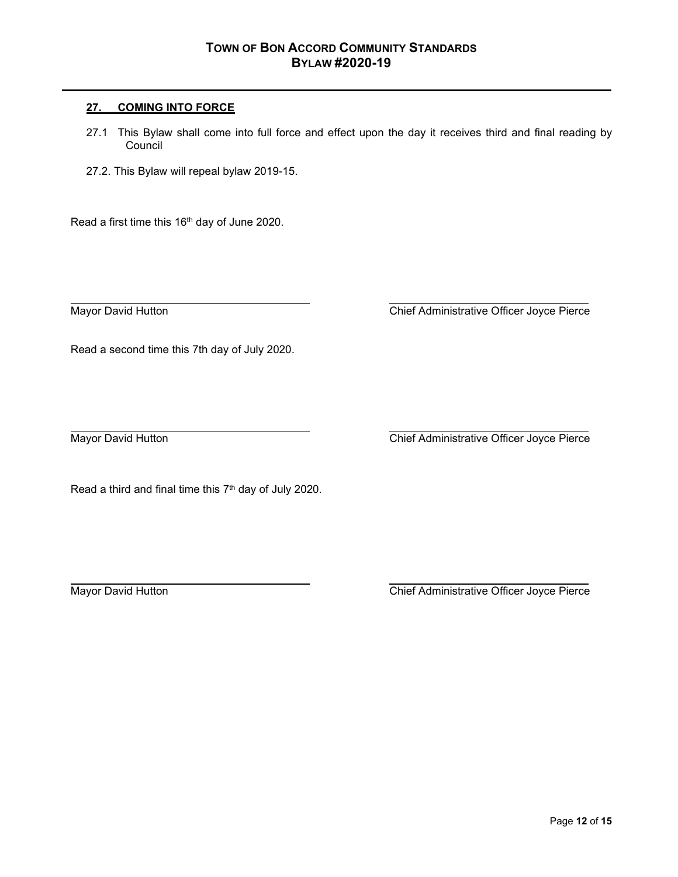# **27. COMING INTO FORCE**

- 27.1 This Bylaw shall come into full force and effect upon the day it receives third and final reading by **Council**
- 27.2. This Bylaw will repeal bylaw 2019-15.

Read a first time this 16th day of June 2020.

Mayor David Hutton **Chief Administrative Officer Joyce Pierce** 

Read a second time this 7th day of July 2020.

Mayor David Hutton Chief Administrative Officer Joyce Pierce

Read a third and final time this 7<sup>th</sup> day of July 2020.

Mayor David Hutton **Chief Administrative Officer Joyce Pierce**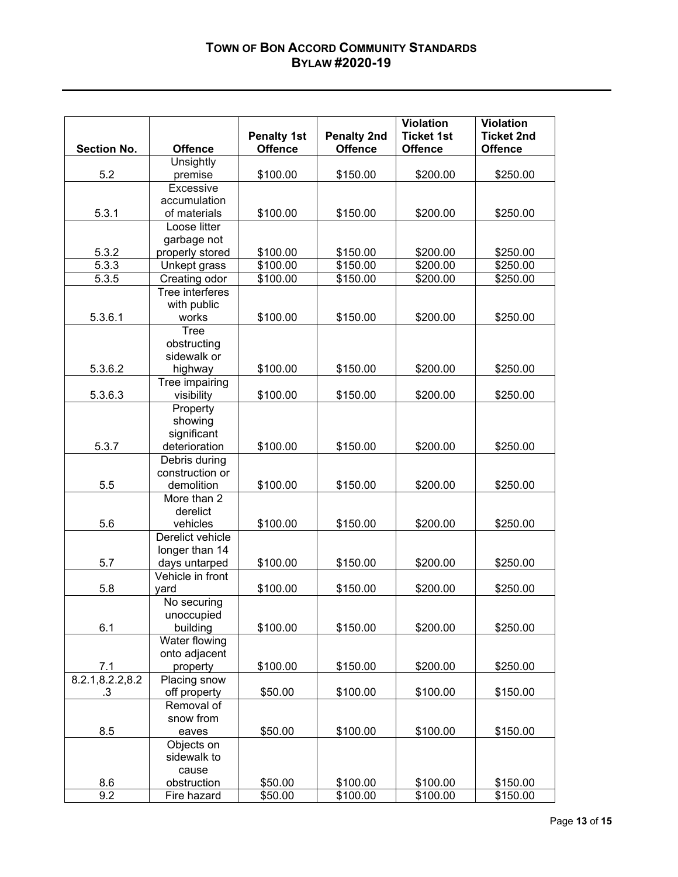# **TOWN OF BON ACCORD COMMUNITY STANDARDS BYLAW #2020-19**

|                    |                                 |                      |                      | <b>Violation</b>     | <b>Violation</b>  |
|--------------------|---------------------------------|----------------------|----------------------|----------------------|-------------------|
|                    |                                 | <b>Penalty 1st</b>   | <b>Penalty 2nd</b>   | <b>Ticket 1st</b>    | <b>Ticket 2nd</b> |
| <b>Section No.</b> | <b>Offence</b>                  | <b>Offence</b>       | <b>Offence</b>       | <b>Offence</b>       | <b>Offence</b>    |
|                    | Unsightly                       |                      |                      |                      |                   |
| 5.2                | premise                         | \$100.00             | \$150.00             | \$200.00             | \$250.00          |
|                    | Excessive                       |                      |                      |                      |                   |
|                    | accumulation                    |                      |                      |                      |                   |
| 5.3.1              | of materials                    | \$100.00             | \$150.00             | \$200.00             | \$250.00          |
|                    | Loose litter                    |                      |                      |                      |                   |
|                    | garbage not                     |                      |                      |                      | \$250.00          |
| 5.3.2<br>5.3.3     | properly stored<br>Unkept grass | \$100.00<br>\$100.00 | \$150.00<br>\$150.00 | \$200.00<br>\$200.00 | \$250.00          |
| 5.3.5              | Creating odor                   | \$100.00             | \$150.00             | \$200.00             | \$250.00          |
|                    | Tree interferes                 |                      |                      |                      |                   |
|                    | with public                     |                      |                      |                      |                   |
| 5.3.6.1            | works                           | \$100.00             | \$150.00             | \$200.00             | \$250.00          |
|                    | <b>Tree</b>                     |                      |                      |                      |                   |
|                    | obstructing                     |                      |                      |                      |                   |
|                    | sidewalk or                     |                      |                      |                      |                   |
| 5.3.6.2            | highway                         | \$100.00             | \$150.00             | \$200.00             | \$250.00          |
|                    | Tree impairing                  |                      |                      |                      |                   |
| 5.3.6.3            | visibility                      | \$100.00             | \$150.00             | \$200.00             | \$250.00          |
|                    | Property                        |                      |                      |                      |                   |
|                    | showing                         |                      |                      |                      |                   |
|                    | significant                     |                      |                      |                      |                   |
| 5.3.7              | deterioration                   | \$100.00             | \$150.00             | \$200.00             | \$250.00          |
|                    | Debris during                   |                      |                      |                      |                   |
|                    | construction or                 |                      |                      |                      |                   |
| 5.5                | demolition                      | \$100.00             | \$150.00             | \$200.00             | \$250.00          |
|                    | More than 2                     |                      |                      |                      |                   |
|                    | derelict                        |                      |                      |                      |                   |
| 5.6                | vehicles<br>Derelict vehicle    | \$100.00             | \$150.00             | \$200.00             | \$250.00          |
|                    | longer than 14                  |                      |                      |                      |                   |
| 5.7                | days untarped                   | \$100.00             | \$150.00             | \$200.00             | \$250.00          |
|                    | Vehicle in front                |                      |                      |                      |                   |
| 5.8                | yard                            | \$100.00             | \$150.00             | \$200.00             | \$250.00          |
|                    | No securing                     |                      |                      |                      |                   |
|                    | unoccupied                      |                      |                      |                      |                   |
| 6.1                | building                        | \$100.00             | \$150.00             | \$200.00             | \$250.00          |
|                    | Water flowing                   |                      |                      |                      |                   |
|                    | onto adjacent                   |                      |                      |                      |                   |
| 7.1                | property                        | \$100.00             | \$150.00             | \$200.00             | \$250.00          |
| 8.2.1,8.2.2,8.2    | Placing snow                    |                      |                      |                      |                   |
| .3                 | off property                    | \$50.00              | \$100.00             | \$100.00             | \$150.00          |
|                    | Removal of                      |                      |                      |                      |                   |
|                    | snow from                       |                      |                      |                      |                   |
| 8.5                | eaves                           | \$50.00              | \$100.00             | \$100.00             | \$150.00          |
|                    | Objects on                      |                      |                      |                      |                   |
|                    | sidewalk to                     |                      |                      |                      |                   |
|                    | cause                           |                      |                      |                      |                   |
| 8.6                | obstruction                     | \$50.00              | \$100.00             | \$100.00             | \$150.00          |
| 9.2                | Fire hazard                     | \$50.00              | \$100.00             | \$100.00             | \$150.00          |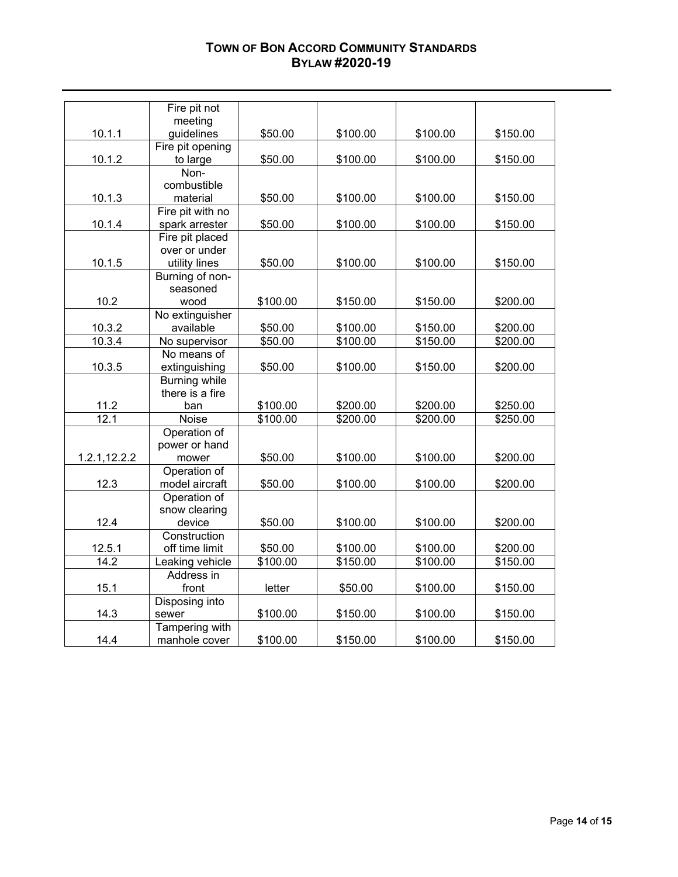# **TOWN OF BON ACCORD COMMUNITY STANDARDS BYLAW #2020-19**

|                     | Fire pit not                   |          |          |          |          |
|---------------------|--------------------------------|----------|----------|----------|----------|
|                     | meeting                        |          |          |          |          |
| 10.1.1              | guidelines                     | \$50.00  | \$100.00 | \$100.00 | \$150.00 |
|                     | Fire pit opening               |          |          |          |          |
| 10.1.2              | to large                       | \$50.00  | \$100.00 | \$100.00 | \$150.00 |
|                     | Non-                           |          |          |          |          |
|                     | combustible                    |          |          |          |          |
| 10.1.3              | material                       | \$50.00  | \$100.00 | \$100.00 | \$150.00 |
|                     | Fire pit with no               |          |          |          |          |
| 10.1.4              | spark arrester                 | \$50.00  | \$100.00 | \$100.00 | \$150.00 |
|                     | Fire pit placed                |          |          |          |          |
|                     | over or under                  |          |          |          |          |
| 10.1.5              | utility lines                  | \$50.00  | \$100.00 | \$100.00 | \$150.00 |
|                     | Burning of non-                |          |          |          |          |
|                     | seasoned                       |          |          |          |          |
| 10.2                | wood                           | \$100.00 | \$150.00 | \$150.00 | \$200.00 |
|                     | No extinguisher                |          |          |          |          |
| 10.3.2              | available                      | \$50.00  | \$100.00 | \$150.00 | \$200.00 |
| 10.3.4              | No supervisor                  | \$50.00  | \$100.00 | \$150.00 | \$200.00 |
|                     | No means of                    |          |          |          |          |
| 10.3.5              | extinguishing                  | \$50.00  | \$100.00 | \$150.00 | \$200.00 |
|                     | <b>Burning while</b>           |          |          |          |          |
|                     | there is a fire                |          |          |          |          |
| $\frac{11.2}{12.1}$ | ban                            | \$100.00 | \$200.00 | \$200.00 | \$250.00 |
|                     | Noise                          | \$100.00 | \$200.00 | \$200.00 | \$250.00 |
|                     | Operation of                   |          |          |          |          |
|                     | power or hand                  |          |          |          |          |
| 1.2.1,12.2.2        | mower                          | \$50.00  | \$100.00 | \$100.00 | \$200.00 |
| 12.3                | Operation of<br>model aircraft | \$50.00  | \$100.00 | \$100.00 | \$200.00 |
|                     | Operation of                   |          |          |          |          |
|                     | snow clearing                  |          |          |          |          |
| 12.4                | device                         | \$50.00  | \$100.00 | \$100.00 | \$200.00 |
|                     | Construction                   |          |          |          |          |
| 12.5.1              | off time limit                 | \$50.00  | \$100.00 | \$100.00 | \$200.00 |
| 14.2                | Leaking vehicle                | \$100.00 | \$150.00 | \$100.00 | \$150.00 |
|                     | Address in                     |          |          |          |          |
| 15.1                | front                          | letter   | \$50.00  | \$100.00 | \$150.00 |
|                     | Disposing into                 |          |          |          |          |
| 14.3                | sewer                          | \$100.00 | \$150.00 | \$100.00 | \$150.00 |
|                     | Tampering with                 |          |          |          |          |
| 14.4                | manhole cover                  | \$100.00 | \$150.00 | \$100.00 | \$150.00 |